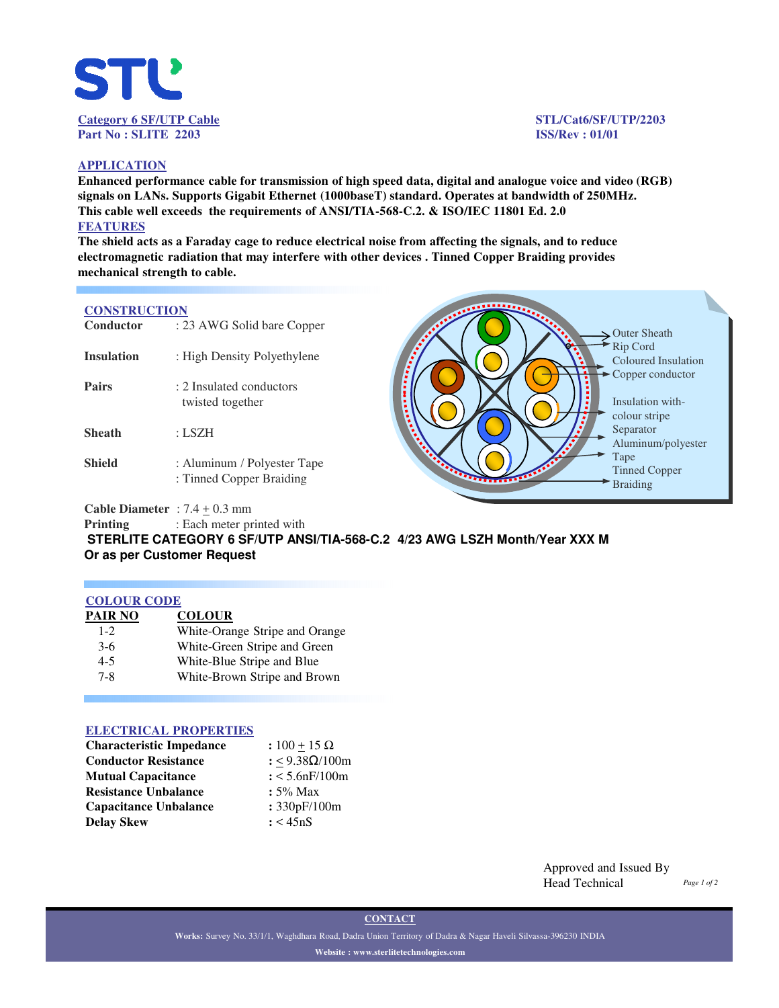

#### **APPLICATION**

**Enhanced performance cable for transmission of high speed data, digital and analogue voice and video (RGB) signals on LANs. Supports Gigabit Ethernet (1000baseT) standard. Operates at bandwidth of 250MHz. This cable well exceeds the requirements of ANSI/TIA-568-C.2. & ISO/IEC 11801 Ed. 2.0 FEATURES**

**The shield acts as a Faraday cage to reduce electrical noise from affecting the signals, and to reduce electromagnetic radiation that may interfere with other devices . Tinned Copper Braiding provides mechanical strength to cable.** 

## **CONSTRUCTION**

| Conductor         | : 23 AWG Solid bare Copper                              |                                 |
|-------------------|---------------------------------------------------------|---------------------------------|
| <b>Insulation</b> | : High Density Polyethylene                             |                                 |
| <b>Pairs</b>      | : 2 Insulated conductors<br>twisted together            |                                 |
| <b>Sheath</b>     | : LSZH                                                  |                                 |
| <b>Shield</b>     | : Aluminum / Polyester Tape<br>: Tinned Copper Braiding | <b>Sainternational Property</b> |

Outer Sheath Rip Cord Coloured Insulation Copper conductor Insulation withcolour stripe Separator Aluminum/polyester Tape Tinned Copper Braiding

**Cable Diameter** :  $7.4 \pm 0.3$  mm

**Printing** : Each meter printed with

**STERLITE CATEGORY 6 SF/UTP ANSI/TIA-568-C.2 4/23 AWG LSZH Month/Year XXX M Or as per Customer Request** 

### **COLOUR CODE**

| PAIR NO | <b>COLOUR</b>                  |
|---------|--------------------------------|
| $1 - 2$ | White-Orange Stripe and Orange |
| $3-6$   | White-Green Stripe and Green   |
| $4 - 5$ | White-Blue Stripe and Blue     |
| $7 - 8$ | White-Brown Stripe and Brown   |

### **ELECTRICAL PROPERTIES**

| <b>Characteristic Impedance</b> | : $100 + 15 \Omega$ |  |  |
|---------------------------------|---------------------|--|--|
| <b>Conductor Resistance</b>     | : <9.38Ω/100m       |  |  |
| <b>Mutual Capacitance</b>       | : 5.6nF/100m        |  |  |
| <b>Resistance Unbalance</b>     | $: 5\%$ Max         |  |  |
| <b>Capacitance Unbalance</b>    | : 330pF/100m        |  |  |
| <b>Delay Skew</b>               | : < 45nS            |  |  |

Approved and Issued By Head Technical *Page 1 of 2*

**CONTACT**

**Works:** Survey No. 33/1/1, Waghdhara Road, Dadra Union Territory of Dadra & Nagar Haveli Silvassa-396230 INDIA **Website : www.sterlitetechnologies.com**